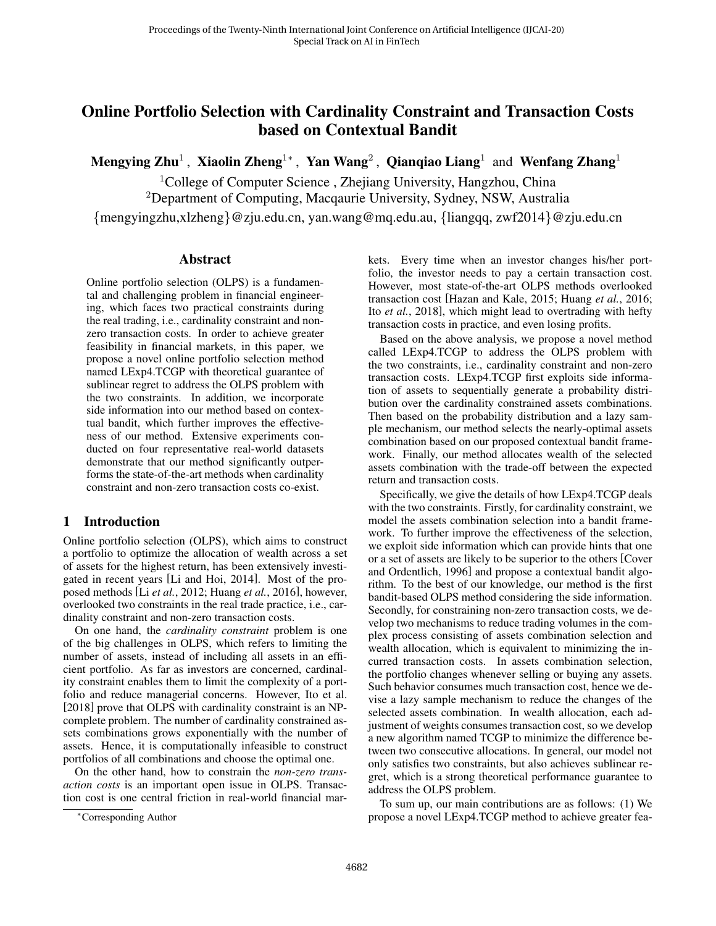# Online Portfolio Selection with Cardinality Constraint and Transaction Costs based on Contextual Bandit

Mengying Zhu<sup>1</sup> , Xiaolin Zheng<sup>1</sup>\* , Yan Wang<sup>2</sup> , Qianqiao Liang<sup>1</sup> and Wenfang Zhang<sup>1</sup>

<sup>1</sup>College of Computer Science, Zhejiang University, Hangzhou, China <sup>2</sup>Department of Computing, Macqaurie University, Sydney, NSW, Australia {mengyingzhu,xlzheng}@zju.edu.cn, yan.wang@mq.edu.au, {liangqq, zwf2014}@zju.edu.cn

### Abstract

Online portfolio selection (OLPS) is a fundamental and challenging problem in financial engineering, which faces two practical constraints during the real trading, i.e., cardinality constraint and nonzero transaction costs. In order to achieve greater feasibility in financial markets, in this paper, we propose a novel online portfolio selection method named LExp4.TCGP with theoretical guarantee of sublinear regret to address the OLPS problem with the two constraints. In addition, we incorporate side information into our method based on contextual bandit, which further improves the effectiveness of our method. Extensive experiments conducted on four representative real-world datasets demonstrate that our method significantly outperforms the state-of-the-art methods when cardinality constraint and non-zero transaction costs co-exist.

## 1 Introduction

Online portfolio selection (OLPS), which aims to construct a portfolio to optimize the allocation of wealth across a set of assets for the highest return, has been extensively investigated in recent years [Li and Hoi, 2014]. Most of the proposed methods [Li *et al.*, 2012; Huang *et al.*, 2016], however, overlooked two constraints in the real trade practice, i.e., cardinality constraint and non-zero transaction costs.

On one hand, the *cardinality constraint* problem is one of the big challenges in OLPS, which refers to limiting the number of assets, instead of including all assets in an efficient portfolio. As far as investors are concerned, cardinality constraint enables them to limit the complexity of a portfolio and reduce managerial concerns. However, Ito et al. [2018] prove that OLPS with cardinality constraint is an NPcomplete problem. The number of cardinality constrained assets combinations grows exponentially with the number of assets. Hence, it is computationally infeasible to construct portfolios of all combinations and choose the optimal one.

On the other hand, how to constrain the *non-zero transaction costs* is an important open issue in OLPS. Transaction cost is one central friction in real-world financial markets. Every time when an investor changes his/her portfolio, the investor needs to pay a certain transaction cost. However, most state-of-the-art OLPS methods overlooked transaction cost [Hazan and Kale, 2015; Huang *et al.*, 2016; Ito *et al.*, 2018], which might lead to overtrading with hefty transaction costs in practice, and even losing profits.

Based on the above analysis, we propose a novel method called LExp4.TCGP to address the OLPS problem with the two constraints, i.e., cardinality constraint and non-zero transaction costs. LExp4.TCGP first exploits side information of assets to sequentially generate a probability distribution over the cardinality constrained assets combinations. Then based on the probability distribution and a lazy sample mechanism, our method selects the nearly-optimal assets combination based on our proposed contextual bandit framework. Finally, our method allocates wealth of the selected assets combination with the trade-off between the expected return and transaction costs.

Specifically, we give the details of how LExp4.TCGP deals with the two constraints. Firstly, for cardinality constraint, we model the assets combination selection into a bandit framework. To further improve the effectiveness of the selection, we exploit side information which can provide hints that one or a set of assets are likely to be superior to the others [Cover and Ordentlich, 1996] and propose a contextual bandit algorithm. To the best of our knowledge, our method is the first bandit-based OLPS method considering the side information. Secondly, for constraining non-zero transaction costs, we develop two mechanisms to reduce trading volumes in the complex process consisting of assets combination selection and wealth allocation, which is equivalent to minimizing the incurred transaction costs. In assets combination selection, the portfolio changes whenever selling or buying any assets. Such behavior consumes much transaction cost, hence we devise a lazy sample mechanism to reduce the changes of the selected assets combination. In wealth allocation, each adjustment of weights consumes transaction cost, so we develop a new algorithm named TCGP to minimize the difference between two consecutive allocations. In general, our model not only satisfies two constraints, but also achieves sublinear regret, which is a strong theoretical performance guarantee to address the OLPS problem.

To sum up, our main contributions are as follows: (1) We propose a novel LExp4.TCGP method to achieve greater fea-

<sup>∗</sup>Corresponding Author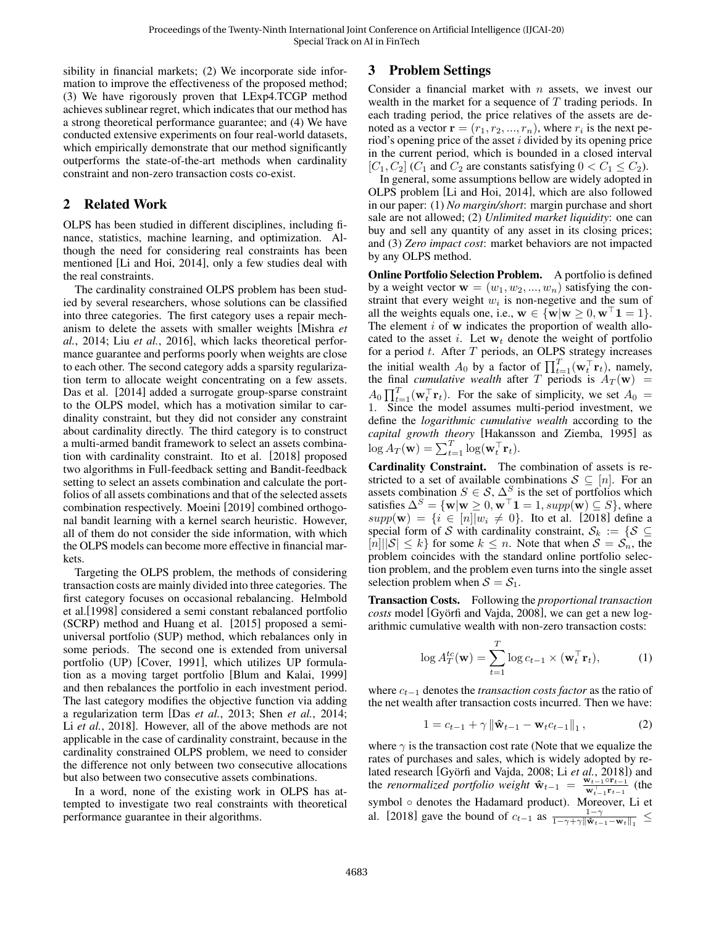sibility in financial markets; (2) We incorporate side information to improve the effectiveness of the proposed method; (3) We have rigorously proven that LExp4.TCGP method achieves sublinear regret, which indicates that our method has a strong theoretical performance guarantee; and (4) We have conducted extensive experiments on four real-world datasets, which empirically demonstrate that our method significantly outperforms the state-of-the-art methods when cardinality constraint and non-zero transaction costs co-exist.

# 2 Related Work

OLPS has been studied in different disciplines, including finance, statistics, machine learning, and optimization. Although the need for considering real constraints has been mentioned [Li and Hoi, 2014], only a few studies deal with the real constraints.

The cardinality constrained OLPS problem has been studied by several researchers, whose solutions can be classified into three categories. The first category uses a repair mechanism to delete the assets with smaller weights [Mishra *et al.*, 2014; Liu *et al.*, 2016], which lacks theoretical performance guarantee and performs poorly when weights are close to each other. The second category adds a sparsity regularization term to allocate weight concentrating on a few assets. Das et al. [2014] added a surrogate group-sparse constraint to the OLPS model, which has a motivation similar to cardinality constraint, but they did not consider any constraint about cardinality directly. The third category is to construct a multi-armed bandit framework to select an assets combination with cardinality constraint. Ito et al. [2018] proposed two algorithms in Full-feedback setting and Bandit-feedback setting to select an assets combination and calculate the portfolios of all assets combinations and that of the selected assets combination respectively. Moeini [2019] combined orthogonal bandit learning with a kernel search heuristic. However, all of them do not consider the side information, with which the OLPS models can become more effective in financial markets.

Targeting the OLPS problem, the methods of considering transaction costs are mainly divided into three categories. The first category focuses on occasional rebalancing. Helmbold et al.[1998] considered a semi constant rebalanced portfolio (SCRP) method and Huang et al. [2015] proposed a semiuniversal portfolio (SUP) method, which rebalances only in some periods. The second one is extended from universal portfolio (UP) [Cover, 1991], which utilizes UP formulation as a moving target portfolio [Blum and Kalai, 1999] and then rebalances the portfolio in each investment period. The last category modifies the objective function via adding a regularization term [Das *et al.*, 2013; Shen *et al.*, 2014; Li *et al.*, 2018]. However, all of the above methods are not applicable in the case of cardinality constraint, because in the cardinality constrained OLPS problem, we need to consider the difference not only between two consecutive allocations but also between two consecutive assets combinations.

In a word, none of the existing work in OLPS has attempted to investigate two real constraints with theoretical performance guarantee in their algorithms.

# 3 Problem Settings

Consider a financial market with  $n$  assets, we invest our wealth in the market for a sequence of  $T$  trading periods. In each trading period, the price relatives of the assets are denoted as a vector  $\mathbf{r} = (r_1, r_2, ..., r_n)$ , where  $r_i$  is the next period's opening price of the asset  $i$  divided by its opening price in the current period, which is bounded in a closed interval  $[C_1, C_2]$  ( $C_1$  and  $C_2$  are constants satisfying  $0 < C_1 \le C_2$ ).

In general, some assumptions bellow are widely adopted in OLPS problem [Li and Hoi, 2014], which are also followed in our paper: (1) *No margin/short*: margin purchase and short sale are not allowed; (2) *Unlimited market liquidity*: one can buy and sell any quantity of any asset in its closing prices; and (3) *Zero impact cost*: market behaviors are not impacted by any OLPS method.

Online Portfolio Selection Problem. A portfolio is defined by a weight vector  $\mathbf{w} = (w_1, w_2, ..., w_n)$  satisfying the constraint that every weight  $w_i$  is non-negetive and the sum of all the weights equals one, i.e.,  $\mathbf{w} \in \{\mathbf{w} | \mathbf{w} \geq 0, \mathbf{w}^{\top} \mathbf{1} = 1\}.$ The element  $i$  of  $w$  indicates the proportion of wealth allocated to the asset i. Let  $w_t$  denote the weight of portfolio for a period  $t$ . After  $T$  periods, an OLPS strategy increases the initial wealth  $A_0$  by a factor of  $\prod_{t=1}^T (\mathbf{w}_t^\top \mathbf{r}_t)$ , namely, the final *cumulative wealth* after T periods is  $A_T(\mathbf{w}) =$  $A_0 \prod_{t=1}^T (\mathbf{w}_t^{\top} \mathbf{r}_t)$ . For the sake of simplicity, we set  $A_0 =$ 1. Since the model assumes multi-period investment, we define the *logarithmic cumulative wealth* according to the *capital growth theory* [Hakansson and Ziemba, 1995] as  $\log A_T(\mathbf{w}) = \sum_{t=1}^T \log(\mathbf{w}_t^\top \mathbf{r}_t).$ 

Cardinality Constraint. The combination of assets is restricted to a set of available combinations  $S \subseteq [n]$ . For an assets combination  $S \in \mathcal{S}, \Delta^S$  is the set of portfolios which satisfies  $\Delta^{S} = \{ \mathbf{w} | \mathbf{w} \geq 0, \mathbf{w}^{\top} \mathbf{1} = 1, supp(\mathbf{w}) \subseteq S \}$ , where  $supp(\mathbf{w}) = \{i \in [n] | w_i \neq 0\}$ . Ito et al. [2018] define a special form of S with cardinality constraint,  $S_k := \{S \subseteq$  $[n]||\mathcal{S}| \leq k$  for some  $k \leq n$ . Note that when  $\mathcal{S} = \mathcal{S}_n$ , the problem coincides with the standard online portfolio selection problem, and the problem even turns into the single asset selection problem when  $S = S_1$ .

Transaction Costs. Following the *proportional transaction costs* model [Györfi and Vajda, 2008], we can get a new logarithmic cumulative wealth with non-zero transaction costs:

$$
\log A_T^{tc}(\mathbf{w}) = \sum_{t=1}^T \log c_{t-1} \times (\mathbf{w}_t^\top \mathbf{r}_t), \tag{1}
$$

where c<sub>t−1</sub> denotes the *transaction costs factor* as the ratio of the net wealth after transaction costs incurred. Then we have:

$$
1 = c_{t-1} + \gamma \left\| \hat{\mathbf{w}}_{t-1} - \mathbf{w}_t c_{t-1} \right\|_1, \tag{2}
$$

where  $\gamma$  is the transaction cost rate (Note that we equalize the rates of purchases and sales, which is widely adopted by related research [Györfi and Vajda, 2008; Li et al., 2018]) and the *renormalized portfolio weight*  $\hat{\mathbf{w}}_{t-1} = \frac{\mathbf{w}_{t-1} \circ \mathbf{r}_{t-1}}{\mathbf{w}_{t}^\top \cdot \mathbf{r}_{t-1}}$  $\frac{\mathbf{w}_{t-1} \circ \mathbf{r}_{t-1}}{\mathbf{w}_{t-1}^{\top} \mathbf{r}_{t-1}}$  (the symbol ∘ denotes the Hadamard product). Moreover, Li et al. [2018] gave the bound of  $c_{t-1}$  as  $\frac{1-\gamma}{1-\gamma+\gamma\|\hat{\mathbf{w}}_{t-1}-\mathbf{w}_t\|_1} \leq$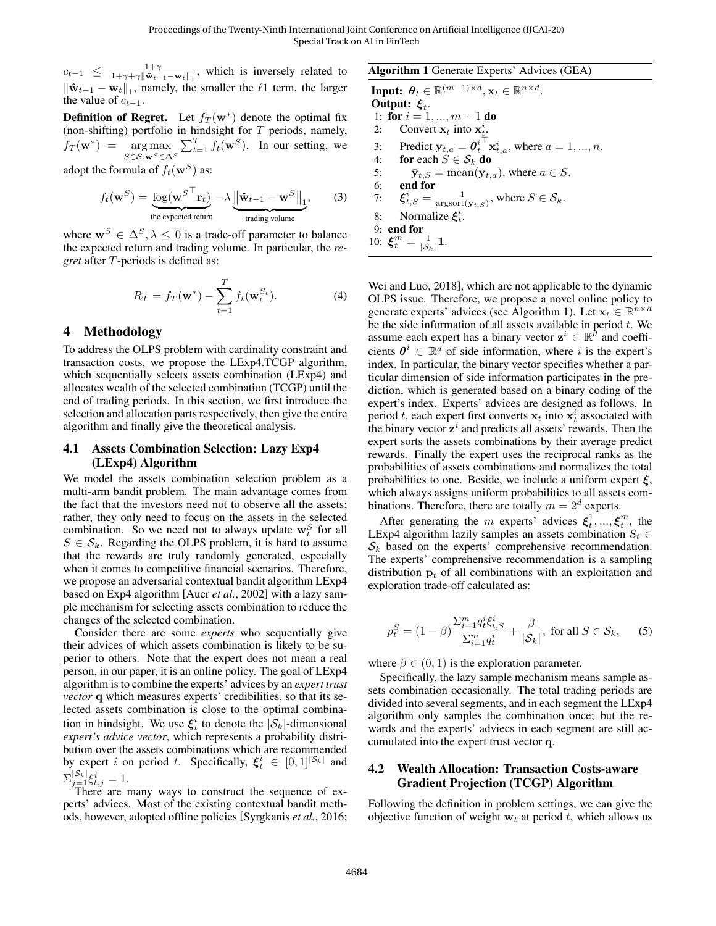$c_{t-1} \leq \frac{1+\gamma}{1+\gamma+\gamma \|\hat{\mathbf{w}}_{t-1}-\mathbf{w}_t\|_1}$ , which is inversely related to  $\|\hat{\mathbf{w}}_{t-1} - \mathbf{w}_t\|_1$ , namely, the smaller the  $\ell_1$  term, the larger the value of  $c_{t-1}$ .

**Definition of Regret.** Let  $f_T(\mathbf{w}^*)$  denote the optimal fix (non-shifting) portfolio in hindsight for  $T$  periods, namely,  $f_T(\mathbf{w}^*) = \arg \max$  $S$ ∈ ${\cal S},$ w $^S$ ∈ $\Delta^S$  $\sum_{t=1}^{T} f_t(\mathbf{w}^S)$ . In our setting, we

adopt the formula of  $f_t(\mathbf{w}^S)$  as:

$$
f_t(\mathbf{w}^S) = \underbrace{\log(\mathbf{w}^{S^{\top}} \mathbf{r}_t)}_{\text{the expected return}} - \lambda \underbrace{\left\| \hat{\mathbf{w}}_{t-1} - \mathbf{w}^S \right\|_1}_{\text{trading volume}},\tag{3}
$$

where  $\mathbf{w}^S \in \Delta^S, \lambda \leq 0$  is a trade-off parameter to balance the expected return and trading volume. In particular, the *regret* after T-periods is defined as:

$$
R_T = f_T(\mathbf{w}^*) - \sum_{t=1}^T f_t(\mathbf{w}_t^{S_t}).
$$
\n(4)

### 4 Methodology

To address the OLPS problem with cardinality constraint and transaction costs, we propose the LExp4.TCGP algorithm, which sequentially selects assets combination (LExp4) and allocates wealth of the selected combination (TCGP) until the end of trading periods. In this section, we first introduce the selection and allocation parts respectively, then give the entire algorithm and finally give the theoretical analysis.

### 4.1 Assets Combination Selection: Lazy Exp4 (LExp4) Algorithm

We model the assets combination selection problem as a multi-arm bandit problem. The main advantage comes from the fact that the investors need not to observe all the assets; rather, they only need to focus on the assets in the selected combination. So we need not to always update  $w_t^S$  for all  $S \in S_k$ . Regarding the OLPS problem, it is hard to assume that the rewards are truly randomly generated, especially when it comes to competitive financial scenarios. Therefore, we propose an adversarial contextual bandit algorithm LExp4 based on Exp4 algorithm [Auer *et al.*, 2002] with a lazy sample mechanism for selecting assets combination to reduce the changes of the selected combination.

Consider there are some *experts* who sequentially give their advices of which assets combination is likely to be superior to others. Note that the expert does not mean a real person, in our paper, it is an online policy. The goal of LExp4 algorithm is to combine the experts' advices by an *expert trust vector* q which measures experts' credibilities, so that its selected assets combination is close to the optimal combination in hindsight. We use  $\xi_t^i$  to denote the  $|\mathcal{S}_k|$ -dimensional *expert's advice vector*, which represents a probability distribution over the assets combinations which are recommended by expert *i* on period *t*. Specifically,  $\xi_t^i \in [0,1]^{|\mathcal{S}_k|}$  and  $\Sigma_{j=1}^{|\mathcal{S}_k|} \xi_{t,j}^i = 1.$ 

There are many ways to construct the sequence of experts' advices. Most of the existing contextual bandit methods, however, adopted offline policies [Syrgkanis *et al.*, 2016;

### Algorithm 1 Generate Experts' Advices (GEA)

Input:  $\boldsymbol{\theta}_t \in \mathbb{R}^{(m-1)\times d}, \mathbf{x}_t \in \mathbb{R}^{n \times d}$ . Output:  $\xi_t$ . 1: for  $i = 1, ..., m - 1$  do 2: Convert  $\mathbf{x}_t$  into  $\mathbf{x}_t^i$ . 3: Predict  $y_{t,a} = \theta_t^i$  $\mathbf{x}_{t,a}^i$ , where  $a = 1, ..., n$ . 4: for each  $S \in \mathcal{S}_k$  do 5:  $\bar{\mathbf{y}}_{t,S} = \text{mean}(\mathbf{y}_{t,a})$ , where  $a \in S$ .<br>6: **end for** 6: end for 7:  $\xi_{t,S}^i = \frac{1}{\text{argsort}(\bar{\mathbf{y}}_{t,S})}$ , where  $S \in \mathcal{S}_k$ . 8: Normalize  $\xi_t^i$ . 9: end for 10:  $\xi_t^m = \frac{1}{|\mathcal{S}_k|} \mathbf{1}.$ 

Wei and Luo, 2018], which are not applicable to the dynamic OLPS issue. Therefore, we propose a novel online policy to generate experts' advices (see Algorithm 1). Let  $\mathbf{x}_t \in \mathbb{R}^{n \times d}$ be the side information of all assets available in period  $t$ . We assume each expert has a binary vector  $z^i \in \mathbb{R}^{\tilde{d}}$  and coefficients  $\theta^i \in \mathbb{R}^d$  of side information, where i is the expert's index. In particular, the binary vector specifies whether a particular dimension of side information participates in the prediction, which is generated based on a binary coding of the expert's index. Experts' advices are designed as follows. In period t, each expert first converts  $x_t$  into  $x_t^i$  associated with the binary vector  $z^i$  and predicts all assets' rewards. Then the expert sorts the assets combinations by their average predict rewards. Finally the expert uses the reciprocal ranks as the probabilities of assets combinations and normalizes the total probabilities to one. Beside, we include a uniform expert  $\xi$ , which always assigns uniform probabilities to all assets combinations. Therefore, there are totally  $m = 2^d$  experts.

After generating the m experts' advices  $\xi_t^1, ..., \xi_t^m$ , the LExp4 algorithm lazily samples an assets combination  $S_t$  $S_k$  based on the experts' comprehensive recommendation. The experts' comprehensive recommendation is a sampling distribution  $\mathbf{p}_t$  of all combinations with an exploitation and exploration trade-off calculated as:

$$
p_t^S = (1 - \beta) \frac{\sum_{i=1}^m q_t^i \xi_{t,S}^i}{\sum_{i=1}^m q_t^i} + \frac{\beta}{|\mathcal{S}_k|}, \text{ for all } S \in \mathcal{S}_k, \quad (5)
$$

where  $\beta \in (0, 1)$  is the exploration parameter.

Specifically, the lazy sample mechanism means sample assets combination occasionally. The total trading periods are divided into several segments, and in each segment the LExp4 algorithm only samples the combination once; but the rewards and the experts' adviecs in each segment are still accumulated into the expert trust vector q.

#### 4.2 Wealth Allocation: Transaction Costs-aware Gradient Projection (TCGP) Algorithm

Following the definition in problem settings, we can give the objective function of weight  $w_t$  at period t, which allows us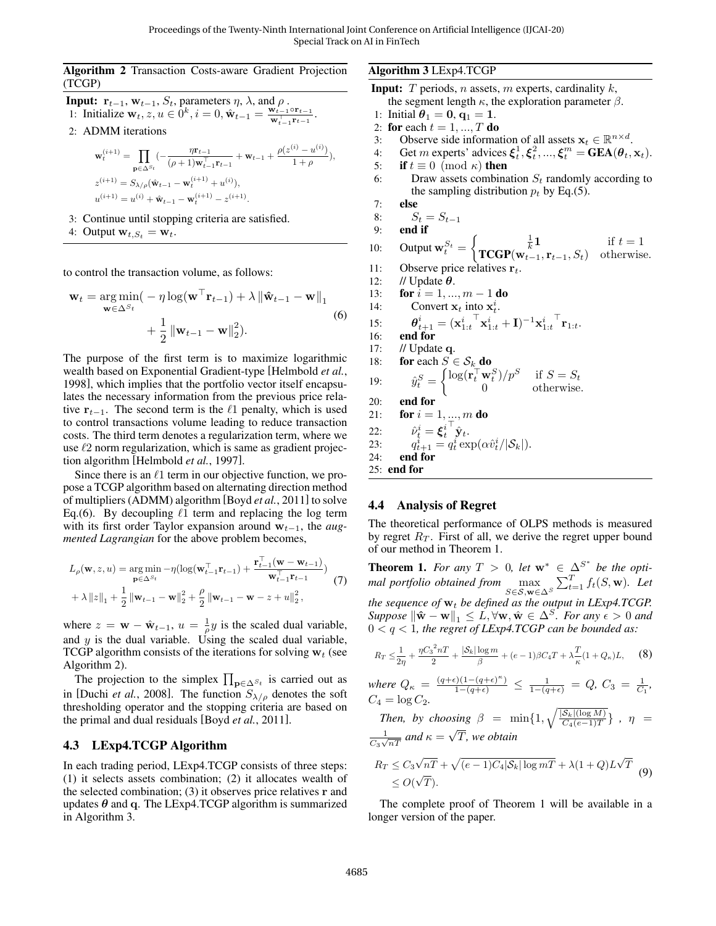#### Algorithm 2 Transaction Costs-aware Gradient Projection (TCGP)

**Input:** 
$$
\mathbf{r}_{t-1}, \mathbf{w}_{t-1}, S_t
$$
, parameters  $\eta$ ,  $\lambda$ , and  $\rho$ .  
1: Initialize  $\mathbf{w}_t, z, u \in 0^k, i = 0, \hat{\mathbf{w}}_{t-1} = \frac{\mathbf{w}_{t-1} \circ \mathbf{r}_{t-1}}{\mathbf{w}_{t-1}^{\top} \mathbf{r}_{t-1}}$ .

2: ADMM iterations

$$
\label{eq:1} \begin{aligned} &\mathbf{w}_t^{(i+1)} = \prod_{\mathbf{p}\in\Delta^{S_t}}(-\frac{\eta\mathbf{r}_{t-1}}{(\rho+1)\mathbf{w}_{t-1}^\top\mathbf{r}_{t-1}}+\mathbf{w}_{t-1}+\frac{\rho(z^{(i)}-u^{(i)})}{1+\rho}),\\ &z^{(i+1)} = S_{\lambda/\rho}(\hat{\mathbf{w}}_{t-1}-\mathbf{w}_t^{(i+1)}+u^{(i)}),\\ &u^{(i+1)} = u^{(i)} + \hat{\mathbf{w}}_{t-1}-\mathbf{w}_t^{(i+1)} - z^{(i+1)}. \end{aligned}
$$

- 3: Continue until stopping criteria are satisfied.
- 4: Output  $\mathbf{w}_{t,S_t} = \mathbf{w}_t$ .

to control the transaction volume, as follows:

$$
\mathbf{w}_{t} = \underset{\mathbf{w} \in \Delta^{S_{t}}}{\arg \min} \left( -\eta \log(\mathbf{w}^{\top} \mathbf{r}_{t-1}) + \lambda \left\| \hat{\mathbf{w}}_{t-1} - \mathbf{w} \right\|_{1} + \frac{1}{2} \left\| \mathbf{w}_{t-1} - \mathbf{w} \right\|_{2}^{2} \right).
$$
\n(6)

The purpose of the first term is to maximize logarithmic wealth based on Exponential Gradient-type [Helmbold *et al.*, 1998], which implies that the portfolio vector itself encapsulates the necessary information from the previous price relative  $\mathbf{r}_{t-1}$ . The second term is the  $\ell_1$  penalty, which is used to control transactions volume leading to reduce transaction costs. The third term denotes a regularization term, where we use  $\ell$ 2 norm regularization, which is same as gradient projection algorithm [Helmbold *et al.*, 1997].

Since there is an  $\ell$ 1 term in our objective function, we propose a TCGP algorithm based on alternating direction method of multipliers (ADMM) algorithm [Boyd *et al.*, 2011] to solve Eq.(6). By decoupling  $\ell$ 1 term and replacing the log term with its first order Taylor expansion around w<sub>t−1</sub>, the *augmented Lagrangian* for the above problem becomes,

$$
L_{\rho}(\mathbf{w}, z, u) = \underset{\mathbf{p} \in \Delta^{S_t}}{\arg \min} -\eta (\log(\mathbf{w}_{t-1}^{\top} \mathbf{r}_{t-1}) + \frac{\mathbf{r}_{t-1}^{\top}(\mathbf{w} - \mathbf{w}_{t-1})}{\mathbf{w}_{t-1}^{\top} \mathbf{r}_{t-1}})
$$
  
+  $\lambda ||z||_1 + \frac{1}{2} ||\mathbf{w}_{t-1} - \mathbf{w}||_2^2 + \frac{\rho}{2} ||\mathbf{w}_{t-1} - \mathbf{w} - z + u||_2^2,$  (7)

where  $z = \mathbf{w} - \hat{\mathbf{w}}_{t-1}$ ,  $u = \frac{1}{\rho}y$  is the scaled dual variable, and  $y$  is the dual variable. Using the scaled dual variable, TCGP algorithm consists of the iterations for solving  $w_t$  (see Algorithm 2).

The projection to the simplex  $\prod_{p \in \Delta^{S_t}}$  is carried out as in [Duchi *et al.*, 2008]. The function  $S_{\lambda/\rho}$  denotes the soft thresholding operator and the stopping criteria are based on the primal and dual residuals [Boyd *et al.*, 2011].

### 4.3 LExp4.TCGP Algorithm

In each trading period, LExp4.TCGP consists of three steps: (1) it selects assets combination; (2) it allocates wealth of the selected combination;  $(3)$  it observes price relatives r and updates  $\theta$  and q. The LExp4.TCGP algorithm is summarized in Algorithm 3.

#### Algorithm 3 LExp4.TCGP

- **Input:** T periods, *n* assets, *m* experts, cardinality  $k$ , the segment length  $\kappa$ , the exploration parameter  $\beta$ .
- 1: Initial  $\theta_1 = 0, q_1 = 1.$
- 2: for each  $t = 1, ..., T$  do
- 3: Observe side information of all assets  $\mathbf{x}_t \in \mathbb{R}^{n \times d}$ .
- 4: Get m experts' advices  $\xi_t^1, \xi_t^2, ..., \xi_t^m = \text{GEA}(\theta_t, \mathbf{x}_t)$ .
- 5: **if**  $t \equiv 0 \pmod{\kappa}$  then
- 6: Draw assets combination  $S_t$  randomly according to the sampling distribution  $p_t$  by Eq.(5).
- 7: else

```
8: S_t = S_{t-1}<br>9: end if
       end if
```
- 10: Output  $\mathbf{w}_t^{S_t} = \begin{cases} \frac{1}{k} \mathbf{1} & \text{if } t = 1 \\ \mathbf{TCCP}(\mathbf{w}_{t-1}, \mathbf{r}_{t-1}, S_t) & \text{otherwise} \end{cases}$ 
	- $\text{TCGP}(w_{t-1}, r_{t-1}, S_t)$  otherwise.
- 11: Observe price relatives  $\mathbf{r}_t$ .<br>12: // Update  $\boldsymbol{\theta}$ .
- // Update  $\theta$ .
- 13: **for**  $i = 1, ..., m 1$  **do**
- 14: Convert  $x_t$  into  $x_t^i$ .
- 15:  $\boldsymbol{t}_{t+1}^i = (\mathbf{x}_{1:t}^i)$  $\mathbf{\bar{x}}_{1:t}^i + \mathbf{I})^{-1}\mathbf{x}_{1:t}^i$  $^{\top} {\bf r}_{1:t}.$
- $16:$
- 17: // Update q. 18: for each  $S \in \mathcal{S}_k$  do

19: 
$$
\hat{y}_t^S = \begin{cases} \log(\mathbf{r}_t^{\top} \mathbf{w}_t^S) / p^S & \text{if } S = S_t \\ 0 & \text{otherwise} \end{cases}
$$

$$
y_t = \n\begin{cases}\n0 & \text{otherwise.} \\
\text{and for}\n\end{cases}
$$

20. **Find for** 
$$
i = 1, ..., m
$$
 **do**

$$
\hat{\boldsymbol{\rho}}_1 \qquad \text{for } i = 1, ..., m \text{ and}
$$
\n
$$
\hat{\boldsymbol{\rho}}_1 \qquad \hat{\boldsymbol{\epsilon}}_1 \overset{\text{def}}{=} \hat{\boldsymbol{\epsilon}}_1 \overset{\text{def}}{}
$$

22: 
$$
\hat{\nu}_t^i = \boldsymbol{\xi}_t^i \hat{\mathbf{y}}_t.
$$
  
23: 
$$
q_{t+1}^i = q_t^i \exp(\alpha \hat{v}_t^i / |\mathcal{S}_k|).
$$

$$
24: \quad \text{end for} \quad
$$

25: end for

## 4.4 Analysis of Regret

The theoretical performance of OLPS methods is measured by regret  $R_T$ . First of all, we derive the regret upper bound of our method in Theorem 1.

**Theorem 1.** For any  $T > 0$ , let  $w^* \in \Delta^{S^*}$  be the opti*mal portfolio obtained from*  $\max_{S \in \mathcal{S}, \mathbf{w} \in \Delta S} \sum_{t=1}^{T} f_t(S, \mathbf{w})$ *. Let the sequence of*  $w_t$  *be defined as the output in LExp4.TCGP. Suppose*  $\|\hat{\mathbf{w}} - \mathbf{w}\|_1 \leq L$ ,  $\forall \mathbf{w}, \hat{\mathbf{w}} \in \Delta^S$ *. For any*  $\epsilon > 0$  *and* 0 < q < 1*, the regret of LExp4.TCGP can be bounded as:*

$$
R_T \le \frac{1}{2\eta} + \frac{\eta C_3^2 nT}{2} + \frac{|\mathcal{S}_k| \log m}{\beta} + (e - 1)\beta C_4 T + \lambda \frac{T}{\kappa} (1 + Q_\kappa) L, \quad (8)
$$

where 
$$
Q_{\kappa} = \frac{(q+\epsilon)(1-(q+\epsilon)^{\kappa})}{1-(q+\epsilon)} \le \frac{1}{1-(q+\epsilon)} = Q
$$
,  $C_3 = \frac{1}{C_1}$ ,  
\n $C_4 = \log C_2$ .

*Then, by choosing*  $\beta = \min\{1, \sqrt{\frac{|S_k|(\log M)}{C_4(e-1)T}}\}$ ,  $\eta =$ 1  $\frac{1}{C_3\sqrt{nT}}$  and  $\kappa = \sqrt{T}$ , we obtain

$$
R_T \le C_3 \sqrt{n} \cdot \frac{1}{\sqrt{(e-1)C_4|\mathcal{S}_k| \log m}} + \lambda (1+Q) L \sqrt{T}
$$
  
\$\leq O(\sqrt{T}).

The complete proof of Theorem 1 will be available in a longer version of the paper.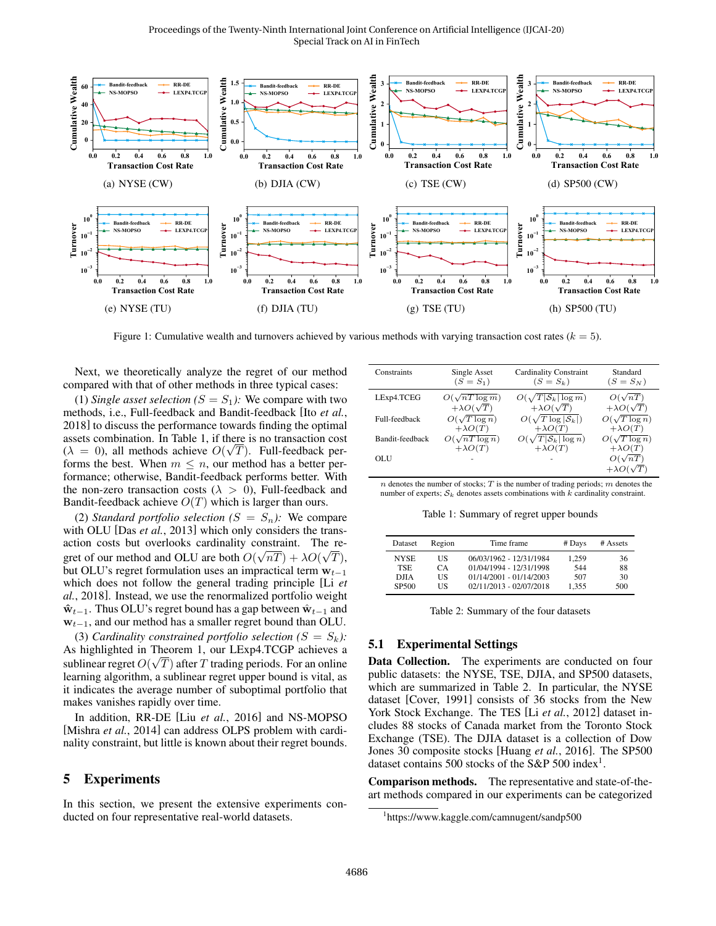

Figure 1: Cumulative wealth and turnovers achieved by various methods with varying transaction cost rates ( $k = 5$ ).

Next, we theoretically analyze the regret of our method compared with that of other methods in three typical cases:

(1) *Single asset selection*  $(S = S_1)$ : We compare with two methods, i.e., Full-feedback and Bandit-feedback [Ito *et al.*, 2018] to discuss the performance towards finding the optimal assets combination. In Table 1, if there is no transaction cost  $(\lambda = 0)$ , all methods achieve  $O(\sqrt{T})$ . Full-feedback performs the best. When  $m \leq n$ , our method has a better performance; otherwise, Bandit-feedback performs better. With the non-zero transaction costs ( $\lambda > 0$ ), Full-feedback and Bandit-feedback achieve  $O(T)$  which is larger than ours.

(2) *Standard portfolio selection*  $(S = S_n)$ : We compare with OLU [Das *et al.*, 2013] which only considers the transaction costs but overlooks cardinality constraint. The regret of our method and OLU are both  $O(\sqrt{nT}) + \lambda O(\sqrt{T}),$ but OLU's regret formulation uses an impractical term  $w_{t-1}$ which does not follow the general trading principle [Li *et al.*, 2018]. Instead, we use the renormalized portfolio weight  $\hat{\mathbf{w}}_{t-1}$ . Thus OLU's regret bound has a gap between  $\hat{\mathbf{w}}_{t-1}$  and  $w_{t-1}$ , and our method has a smaller regret bound than OLU.

(3) *Cardinality constrained portfolio selection*  $(S = S_k)$ : As highlighted in Theorem 1, our LExp4.TCGP achieves a √ sublinear regret  $O(\sqrt{T})$  after T trading periods. For an online learning algorithm, a sublinear regret upper bound is vital, as it indicates the average number of suboptimal portfolio that makes vanishes rapidly over time.

In addition, RR-DE [Liu *et al.*, 2016] and NS-MOPSO [Mishra *et al.*, 2014] can address OLPS problem with cardinality constraint, but little is known about their regret bounds.

### 5 Experiments

In this section, we present the extensive experiments conducted on four representative real-world datasets.

| Constraints     | Single Asset<br>$(S = S_1)$ | <b>Cardinality Constraint</b><br>$(S = S_k)$ | Standard<br>$(S = S_N)$ |
|-----------------|-----------------------------|----------------------------------------------|-------------------------|
| LExp4.TCEG      | $O(\sqrt{nT \log m})$       | $O(\sqrt{T \mathcal{S}_k }\log m)$           | $O(\sqrt{nT})$          |
|                 | $+\lambda O(\sqrt{T})$      | $+\lambda O(\sqrt{T})$                       | $+\lambda O(\sqrt{T})$  |
| Full-feedback   | $O(\sqrt{T \log n})$        | $O(\sqrt{T \log  \mathcal{S}_k })$           | $O(\sqrt{T \log n})$    |
|                 | $+\lambda O(T)$             | $+\lambda O(T)$                              | $+\lambda O(T)$         |
| Bandit-feedback | $O(\sqrt{nT \log n})$       | $O(\sqrt{T} \mathcal{S}_k  \log n)$          | $O(\sqrt{T \log n})$    |
|                 | $+\lambda O(T)$             | $+\lambda O(T)$                              | $+\lambda O(T)$         |
| <b>OLU</b>      |                             |                                              | $O(\sqrt{nT})$          |
|                 |                             |                                              | $+\lambda O(\sqrt{T})$  |

 $n$  denotes the number of stocks;  $T$  is the number of trading periods;  $m$  denotes the number of experts;  $S_k$  denotes assets combinations with k cardinality constraint.

Table 1: Summary of regret upper bounds

| Dataset           | Region | Time frame                | # Days | # Assets |
|-------------------|--------|---------------------------|--------|----------|
| <b>NYSE</b>       | US     | 06/03/1962 - 12/31/1984   | 1.259  | 36       |
| <b>TSE</b>        | CA.    | 01/04/1994 - 12/31/1998   | 544    | 88       |
| <b>DJIA</b>       | US     | $01/14/2001 - 01/14/2003$ | 507    | 30       |
| SP <sub>500</sub> | НS     | 02/11/2013 - 02/07/2018   | 1.355  | 500      |

|  | Table 2: Summary of the four datasets |  |  |  |
|--|---------------------------------------|--|--|--|
|--|---------------------------------------|--|--|--|

#### 5.1 Experimental Settings

Data Collection. The experiments are conducted on four public datasets: the NYSE, TSE, DJIA, and SP500 datasets, which are summarized in Table 2. In particular, the NYSE dataset [Cover, 1991] consists of 36 stocks from the New York Stock Exchange. The TES [Li *et al.*, 2012] dataset includes 88 stocks of Canada market from the Toronto Stock Exchange (TSE). The DJIA dataset is a collection of Dow Jones 30 composite stocks [Huang *et al.*, 2016]. The SP500 dataset contains 500 stocks of the S&P 500 index<sup>1</sup>.

Comparison methods. The representative and state-of-theart methods compared in our experiments can be categorized

<sup>1</sup> https://www.kaggle.com/camnugent/sandp500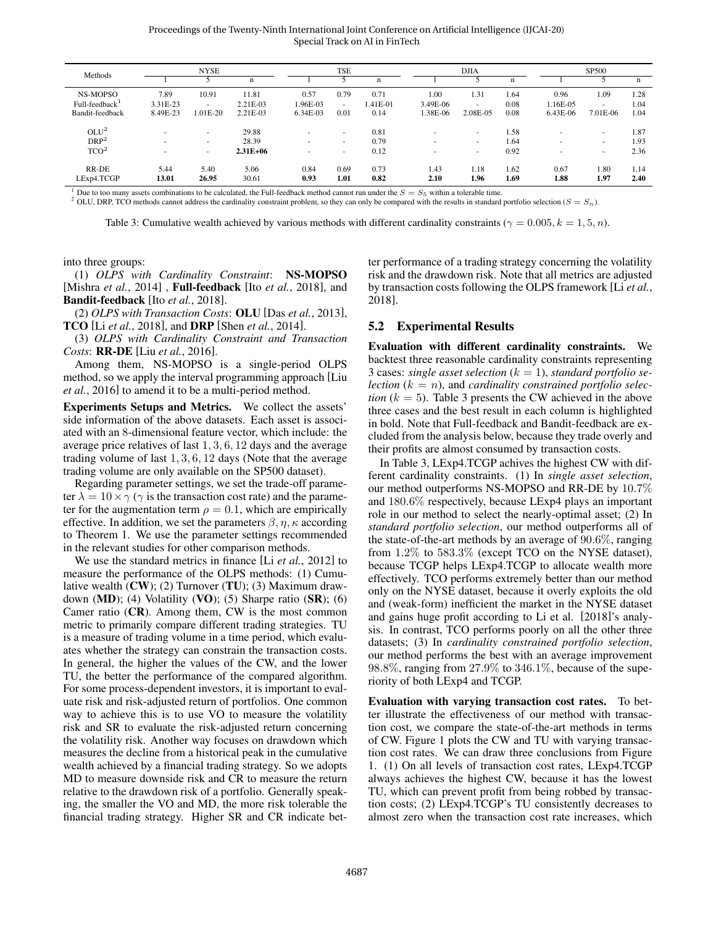Proceedings of the Twenty-Ninth International Joint Conference on Artificial Intelligence (IJCAI-20) Special Track on AI in FinTech

| Methods                 | <b>NYSE</b>   |                          |               | TSE                      |              |              | <b>DJIA</b>              |              | <b>SP500</b> |              |                          |              |
|-------------------------|---------------|--------------------------|---------------|--------------------------|--------------|--------------|--------------------------|--------------|--------------|--------------|--------------------------|--------------|
|                         |               |                          | $\mathbf n$   |                          |              | $\mathbf n$  |                          |              | n            |              |                          | n            |
| NS-MOPSO                | 7.89          | 10.91                    | 11.81         | 0.57                     | 0.79         | 0.71         | 1.00                     | 1.31         | 1.64         | 0.96         | 1.09                     | 1.28         |
| $Full-feedback^{\perp}$ | 3.31E-23      | $\overline{\phantom{a}}$ | 2.21E-03      | 1.96E-03                 | ۰.           | 1.41E-01     | 3.49E-06                 | $\sim$       | 0.08         | 1.16E-05     | $\sim$                   | 1.04         |
| Bandit-feedback         | 8.49E-23      | 1.01E-20                 | 2.21E-03      | 6.34E-03                 | 0.01         | 0.14         | .38E-06                  | 2.08E-05     | 0.08         | 6.43E-06     | 7.01E-06                 | 1.04         |
| OLU <sup>2</sup>        |               | $\overline{\phantom{a}}$ | 29.88         | $\overline{\phantom{a}}$ | $\sim$       | 0.81         | -                        |              | 1.58         | ۰            | $\overline{\phantom{a}}$ | 1.87         |
| DRP <sup>2</sup>        | $\sim$        | $\overline{\phantom{a}}$ | 28.39         | $\overline{\phantom{a}}$ | $\sim$       | 0.79         | -                        | ٠            | 1.64         | ۰            | $\sim$                   | 1.93         |
| TCO <sup>2</sup>        | $\sim$        | $\sim$                   | $2.31E + 06$  | $\overline{\phantom{a}}$ | ۰            | 0.12         | $\overline{\phantom{a}}$ |              | 0.92         | ۰            | $\sim$                   | 2.36         |
| RR-DE<br>LExp4.TCGP     | 5.44<br>13.01 | 5.40<br>26.95            | 5.06<br>30.61 | 0.84<br>0.93             | 0.69<br>1.01 | 0.73<br>0.82 | 1.43<br>2.10             | 1.18<br>1.96 | 1.62<br>1.69 | 0.67<br>1.88 | 1.80<br>1.97             | 1.14<br>2.40 |
|                         |               |                          |               |                          |              |              |                          |              |              |              |                          |              |

<sup>1</sup> Due to too many assets combinations to be calculated, the Full-feedback method cannot run under the  $S = S_5$  within a tolerable time. <sup>2</sup> OLU, DRP, TCO methods cannot address the cardinality constraint problem, so they can only be compared with the results in standard portfolio selection ( $S = S_n$ ).

Table 3: Cumulative wealth achieved by various methods with different cardinality constraints ( $\gamma = 0.005, k = 1, 5, n$ ).

into three groups:

(1) *OLPS with Cardinality Constraint*: NS-MOPSO [Mishra *et al.*, 2014] , Full-feedback [Ito *et al.*, 2018], and Bandit-feedback [Ito *et al.*, 2018].

(2) *OLPS with Transaction Costs*: OLU [Das *et al.*, 2013], TCO [Li *et al.*, 2018], and DRP [Shen *et al.*, 2014].

(3) *OLPS with Cardinality Constraint and Transaction Costs*: RR-DE [Liu *et al.*, 2016].

Among them, NS-MOPSO is a single-period OLPS method, so we apply the interval programming approach [Liu *et al.*, 2016] to amend it to be a multi-period method.

Experiments Setups and Metrics. We collect the assets' side information of the above datasets. Each asset is associated with an 8-dimensional feature vector, which include: the average price relatives of last 1, 3, 6, 12 days and the average trading volume of last 1, 3, 6, 12 days (Note that the average trading volume are only available on the SP500 dataset).

Regarding parameter settings, we set the trade-off parameter  $\lambda = 10 \times \gamma$  ( $\gamma$  is the transaction cost rate) and the parameter for the augmentation term  $\rho = 0.1$ , which are empirically effective. In addition, we set the parameters  $\beta$ ,  $\eta$ ,  $\kappa$  according to Theorem 1. We use the parameter settings recommended in the relevant studies for other comparison methods.

We use the standard metrics in finance [Li *et al.*, 2012] to measure the performance of the OLPS methods: (1) Cumulative wealth  $(CW)$ ; (2) Turnover (TU); (3) Maximum drawdown (MD); (4) Volatility (VO); (5) Sharpe ratio  $(SR)$ ; (6) Camer ratio  $(CR)$ . Among them,  $CW$  is the most common metric to primarily compare different trading strategies. TU is a measure of trading volume in a time period, which evaluates whether the strategy can constrain the transaction costs. In general, the higher the values of the CW, and the lower TU, the better the performance of the compared algorithm. For some process-dependent investors, it is important to evaluate risk and risk-adjusted return of portfolios. One common way to achieve this is to use VO to measure the volatility risk and SR to evaluate the risk-adjusted return concerning the volatility risk. Another way focuses on drawdown which measures the decline from a historical peak in the cumulative wealth achieved by a financial trading strategy. So we adopts MD to measure downside risk and CR to measure the return relative to the drawdown risk of a portfolio. Generally speaking, the smaller the VO and MD, the more risk tolerable the financial trading strategy. Higher SR and CR indicate better performance of a trading strategy concerning the volatility risk and the drawdown risk. Note that all metrics are adjusted by transaction costs following the OLPS framework [Li *et al.*, 2018].

#### 5.2 Experimental Results

Evaluation with different cardinality constraints. We backtest three reasonable cardinality constraints representing 3 cases: *single asset selection*  $(k = 1)$ , *standard portfolio selection*  $(k = n)$ , and *cardinality constrained portfolio selection*  $(k = 5)$ . Table 3 presents the CW achieved in the above three cases and the best result in each column is highlighted in bold. Note that Full-feedback and Bandit-feedback are excluded from the analysis below, because they trade overly and their profits are almost consumed by transaction costs.

In Table 3, LExp4.TCGP achives the highest CW with different cardinality constraints. (1) In *single asset selection*, our method outperforms NS-MOPSO and RR-DE by 10.7% and 180.6% respectively, because LExp4 plays an important role in our method to select the nearly-optimal asset; (2) In *standard portfolio selection*, our method outperforms all of the state-of-the-art methods by an average of 90.6%, ranging from 1.2% to 583.3% (except TCO on the NYSE dataset), because TCGP helps LExp4.TCGP to allocate wealth more effectively. TCO performs extremely better than our method only on the NYSE dataset, because it overly exploits the old and (weak-form) inefficient the market in the NYSE dataset and gains huge profit according to Li et al. [2018]'s analysis. In contrast, TCO performs poorly on all the other three datasets; (3) In *cardinality constrained portfolio selection*, our method performs the best with an average improvement 98.8%, ranging from 27.9% to 346.1%, because of the superiority of both LExp4 and TCGP.

Evaluation with varying transaction cost rates. To better illustrate the effectiveness of our method with transaction cost, we compare the state-of-the-art methods in terms of CW. Figure 1 plots the CW and TU with varying transaction cost rates. We can draw three conclusions from Figure 1. (1) On all levels of transaction cost rates, LExp4.TCGP always achieves the highest CW, because it has the lowest TU, which can prevent profit from being robbed by transaction costs; (2) LExp4.TCGP's TU consistently decreases to almost zero when the transaction cost rate increases, which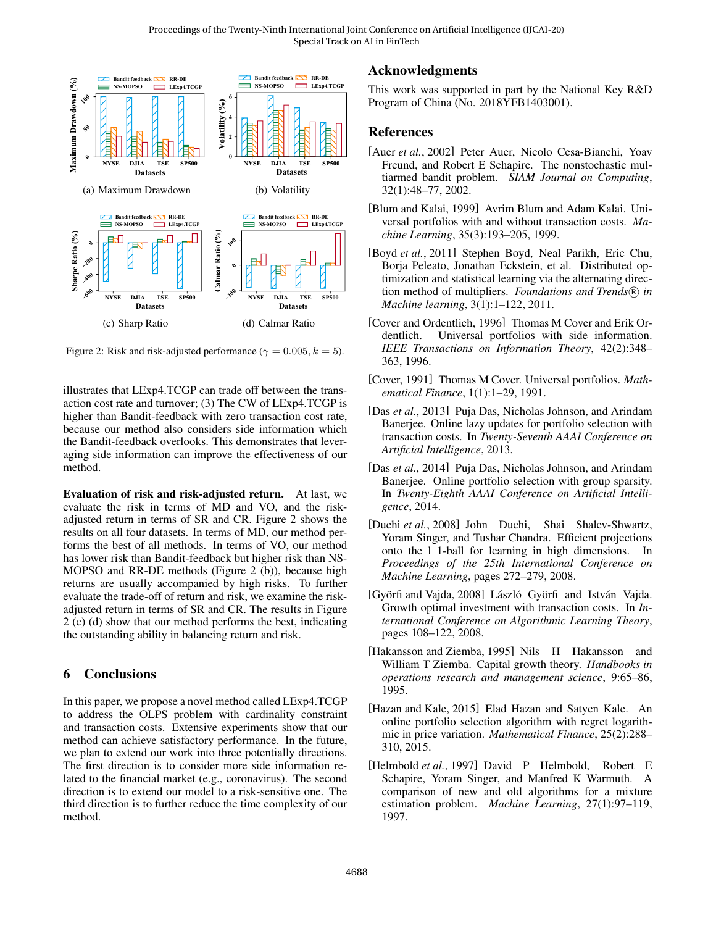

Figure 2: Risk and risk-adjusted performance ( $\gamma = 0.005, k = 5$ ).

illustrates that LExp4.TCGP can trade off between the transaction cost rate and turnover; (3) The CW of LExp4.TCGP is higher than Bandit-feedback with zero transaction cost rate, because our method also considers side information which the Bandit-feedback overlooks. This demonstrates that leveraging side information can improve the effectiveness of our method.

Evaluation of risk and risk-adjusted return. At last, we evaluate the risk in terms of MD and VO, and the riskadjusted return in terms of SR and CR. Figure 2 shows the results on all four datasets. In terms of MD, our method performs the best of all methods. In terms of VO, our method has lower risk than Bandit-feedback but higher risk than NS-MOPSO and RR-DE methods (Figure 2 (b)), because high returns are usually accompanied by high risks. To further evaluate the trade-off of return and risk, we examine the riskadjusted return in terms of SR and CR. The results in Figure 2 (c) (d) show that our method performs the best, indicating the outstanding ability in balancing return and risk.

## 6 Conclusions

In this paper, we propose a novel method called LExp4.TCGP to address the OLPS problem with cardinality constraint and transaction costs. Extensive experiments show that our method can achieve satisfactory performance. In the future, we plan to extend our work into three potentially directions. The first direction is to consider more side information related to the financial market (e.g., coronavirus). The second direction is to extend our model to a risk-sensitive one. The third direction is to further reduce the time complexity of our method.

# Acknowledgments

This work was supported in part by the National Key R&D Program of China (No. 2018YFB1403001).

## References

- [Auer *et al.*, 2002] Peter Auer, Nicolo Cesa-Bianchi, Yoav Freund, and Robert E Schapire. The nonstochastic multiarmed bandit problem. *SIAM Journal on Computing*, 32(1):48–77, 2002.
- [Blum and Kalai, 1999] Avrim Blum and Adam Kalai. Universal portfolios with and without transaction costs. *Machine Learning*, 35(3):193–205, 1999.
- [Boyd *et al.*, 2011] Stephen Boyd, Neal Parikh, Eric Chu, Borja Peleato, Jonathan Eckstein, et al. Distributed optimization and statistical learning via the alternating direction method of multipliers. *Foundations and Trends*<sup>(R)</sup> in *Machine learning*, 3(1):1–122, 2011.
- [Cover and Ordentlich, 1996] Thomas M Cover and Erik Ordentlich. Universal portfolios with side information. *IEEE Transactions on Information Theory*, 42(2):348– 363, 1996.
- [Cover, 1991] Thomas M Cover. Universal portfolios. *Mathematical Finance*, 1(1):1–29, 1991.
- [Das *et al.*, 2013] Puja Das, Nicholas Johnson, and Arindam Banerjee. Online lazy updates for portfolio selection with transaction costs. In *Twenty-Seventh AAAI Conference on Artificial Intelligence*, 2013.
- [Das *et al.*, 2014] Puja Das, Nicholas Johnson, and Arindam Banerjee. Online portfolio selection with group sparsity. In *Twenty-Eighth AAAI Conference on Artificial Intelligence*, 2014.
- [Duchi *et al.*, 2008] John Duchi, Shai Shalev-Shwartz, Yoram Singer, and Tushar Chandra. Efficient projections onto the l 1-ball for learning in high dimensions. In *Proceedings of the 25th International Conference on Machine Learning*, pages 272–279, 2008.
- [Györfi and Vajda, 2008] László Györfi and István Vajda. Growth optimal investment with transaction costs. In *International Conference on Algorithmic Learning Theory*, pages 108–122, 2008.
- [Hakansson and Ziemba, 1995] Nils H Hakansson and William T Ziemba. Capital growth theory. *Handbooks in operations research and management science*, 9:65–86, 1995.
- [Hazan and Kale, 2015] Elad Hazan and Satyen Kale. An online portfolio selection algorithm with regret logarithmic in price variation. *Mathematical Finance*, 25(2):288– 310, 2015.
- [Helmbold *et al.*, 1997] David P Helmbold, Robert E Schapire, Yoram Singer, and Manfred K Warmuth. A comparison of new and old algorithms for a mixture estimation problem. *Machine Learning*, 27(1):97–119, 1997.